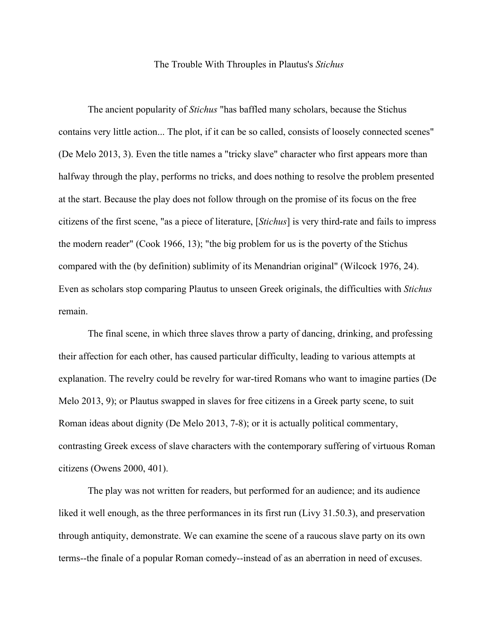## The Trouble With Throuples in Plautus's *Stichus*

The ancient popularity of *Stichus* "has baffled many scholars, because the Stichus contains very little action... The plot, if it can be so called, consists of loosely connected scenes" (De Melo 2013, 3). Even the title names a "tricky slave" character who first appears more than halfway through the play, performs no tricks, and does nothing to resolve the problem presented at the start. Because the play does not follow through on the promise of its focus on the free citizens of the first scene, "as a piece of literature, [*Stichus*] is very third-rate and fails to impress the modern reader" (Cook 1966, 13); "the big problem for us is the poverty of the Stichus compared with the (by definition) sublimity of its Menandrian original" (Wilcock 1976, 24). Even as scholars stop comparing Plautus to unseen Greek originals, the difficulties with *Stichus* remain.

The final scene, in which three slaves throw a party of dancing, drinking, and professing their affection for each other, has caused particular difficulty, leading to various attempts at explanation. The revelry could be revelry for war-tired Romans who want to imagine parties (De Melo 2013, 9); or Plautus swapped in slaves for free citizens in a Greek party scene, to suit Roman ideas about dignity (De Melo 2013, 7-8); or it is actually political commentary, contrasting Greek excess of slave characters with the contemporary suffering of virtuous Roman citizens (Owens 2000, 401).

The play was not written for readers, but performed for an audience; and its audience liked it well enough, as the three performances in its first run (Livy 31.50.3), and preservation through antiquity, demonstrate. We can examine the scene of a raucous slave party on its own terms--the finale of a popular Roman comedy--instead of as an aberration in need of excuses.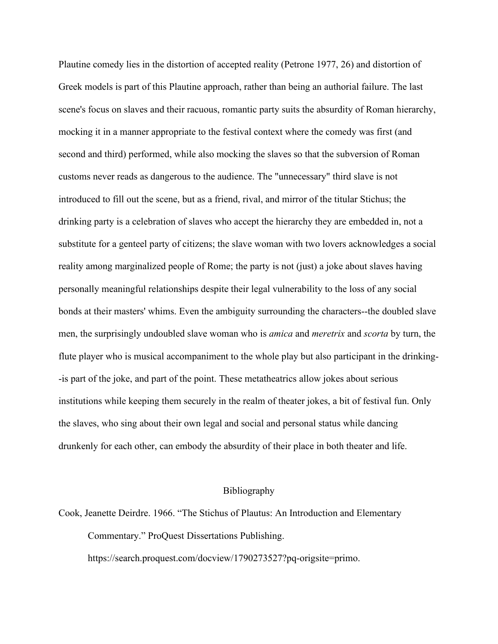Plautine comedy lies in the distortion of accepted reality (Petrone 1977, 26) and distortion of Greek models is part of this Plautine approach, rather than being an authorial failure. The last scene's focus on slaves and their racuous, romantic party suits the absurdity of Roman hierarchy, mocking it in a manner appropriate to the festival context where the comedy was first (and second and third) performed, while also mocking the slaves so that the subversion of Roman customs never reads as dangerous to the audience. The "unnecessary" third slave is not introduced to fill out the scene, but as a friend, rival, and mirror of the titular Stichus; the drinking party is a celebration of slaves who accept the hierarchy they are embedded in, not a substitute for a genteel party of citizens; the slave woman with two lovers acknowledges a social reality among marginalized people of Rome; the party is not (just) a joke about slaves having personally meaningful relationships despite their legal vulnerability to the loss of any social bonds at their masters' whims. Even the ambiguity surrounding the characters--the doubled slave men, the surprisingly undoubled slave woman who is *amica* and *meretrix* and *scorta* by turn, the flute player who is musical accompaniment to the whole play but also participant in the drinking- -is part of the joke, and part of the point. These metatheatrics allow jokes about serious institutions while keeping them securely in the realm of theater jokes, a bit of festival fun. Only the slaves, who sing about their own legal and social and personal status while dancing drunkenly for each other, can embody the absurdity of their place in both theater and life.

## Bibliography

Cook, Jeanette Deirdre. 1966. "The Stichus of Plautus: An Introduction and Elementary Commentary." ProQuest Dissertations Publishing.

https://search.proquest.com/docview/1790273527?pq-origsite=primo.